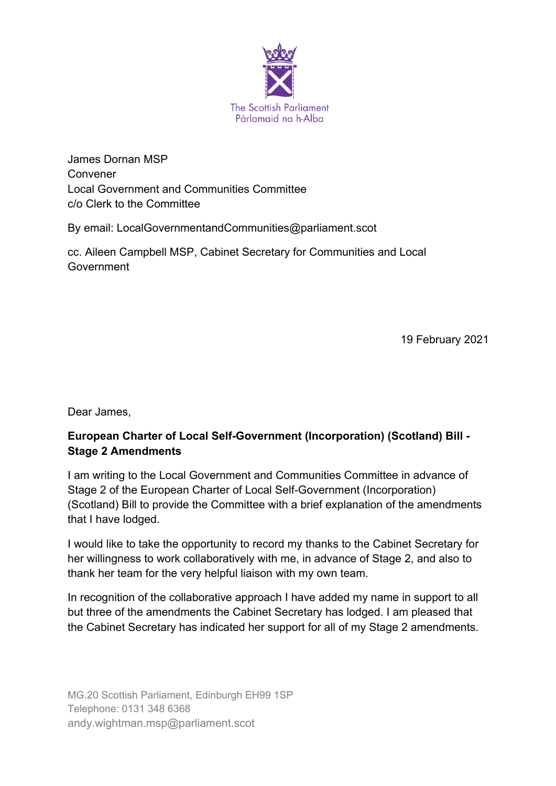

James Dornan MSP Convener Local Government and Communities Committee c/o Clerk to the Committee

By email: LocalGovernmentandCommunities@parliament.scot

cc. Aileen Campbell MSP, Cabinet Secretary for Communities and Local **Government** 

19 February 2021

Dear James,

# **European Charter of Local Self-Government (Incorporation) (Scotland) Bill - Stage 2 Amendments**

I am writing to the Local Government and Communities Committee in advance of Stage 2 of the European Charter of Local Self-Government (Incorporation) (Scotland) Bill to provide the Committee with a brief explanation of the amendments that I have lodged.

I would like to take the opportunity to record my thanks to the Cabinet Secretary for her willingness to work collaboratively with me, in advance of Stage 2, and also to thank her team for the very helpful liaison with my own team.

In recognition of the collaborative approach I have added my name in support to all but three of the amendments the Cabinet Secretary has lodged. I am pleased that the Cabinet Secretary has indicated her support for all of my Stage 2 amendments.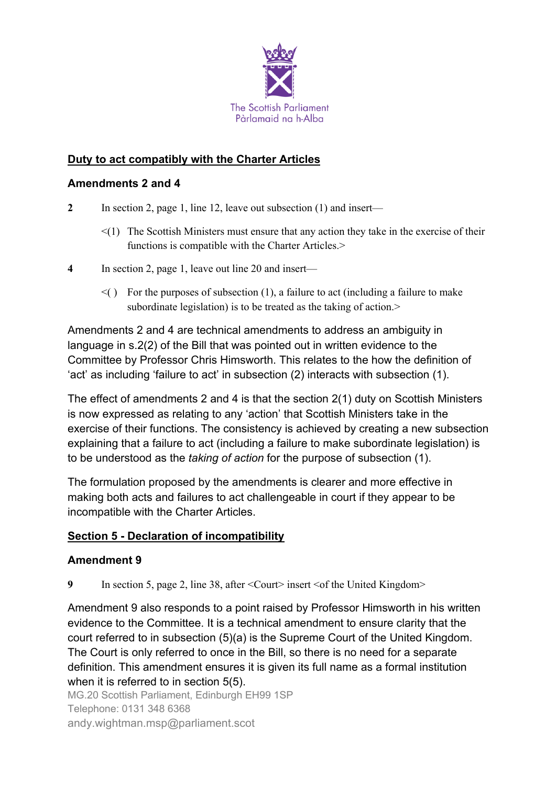

## **Duty to act compatibly with the Charter Articles**

#### **Amendments 2 and 4**

- **2** In section 2, page 1, line 12, leave out subsection (1) and insert—
	- $\leq$ (1) The Scottish Ministers must ensure that any action they take in the exercise of their functions is compatible with the Charter Articles.>
- **4** In section 2, page 1, leave out line 20 and insert—
	- $\leq$  () For the purposes of subsection (1), a failure to act (including a failure to make subordinate legislation) is to be treated as the taking of action.>

Amendments 2 and 4 are technical amendments to address an ambiguity in language in s.2(2) of the Bill that was pointed out in written evidence to the Committee by Professor Chris Himsworth. This relates to the how the definition of 'act' as including 'failure to act' in subsection (2) interacts with subsection (1).

The effect of amendments 2 and 4 is that the section 2(1) duty on Scottish Ministers is now expressed as relating to any 'action' that Scottish Ministers take in the exercise of their functions. The consistency is achieved by creating a new subsection explaining that a failure to act (including a failure to make subordinate legislation) is to be understood as the *taking of action* for the purpose of subsection (1).

The formulation proposed by the amendments is clearer and more effective in making both acts and failures to act challengeable in court if they appear to be incompatible with the Charter Articles.

#### **Section 5 - Declaration of incompatibility**

#### **Amendment 9**

**9** In section 5, page 2, line 38, after < Court> insert < of the United Kingdom>

Amendment 9 also responds to a point raised by Professor Himsworth in his written evidence to the Committee. It is a technical amendment to ensure clarity that the court referred to in subsection (5)(a) is the Supreme Court of the United Kingdom. The Court is only referred to once in the Bill, so there is no need for a separate definition. This amendment ensures it is given its full name as a formal institution when it is referred to in section 5(5).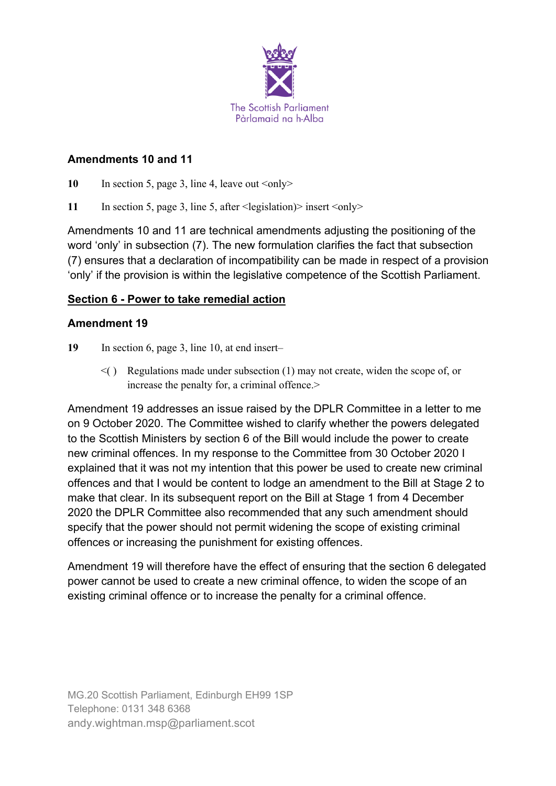

#### **Amendments 10 and 11**

10 In section 5, page 3, line 4, leave out  $\langle \text{only} \rangle$ 

11 In section 5, page 3, line 5, after <legislation)> insert <only>

Amendments 10 and 11 are technical amendments adjusting the positioning of the word 'only' in subsection (7). The new formulation clarifies the fact that subsection (7) ensures that a declaration of incompatibility can be made in respect of a provision 'only' if the provision is within the legislative competence of the Scottish Parliament.

### **Section 6 - Power to take remedial action**

#### **Amendment 19**

- 19 In section 6, page 3, line 10, at end insert–
	- $\leq$  () Regulations made under subsection (1) may not create, widen the scope of, or increase the penalty for, a criminal offence.>

Amendment 19 addresses an issue raised by the DPLR Committee in a letter to me on 9 October 2020. The Committee wished to clarify whether the powers delegated to the Scottish Ministers by section 6 of the Bill would include the power to create new criminal offences. In my response to the Committee from 30 October 2020 I explained that it was not my intention that this power be used to create new criminal offences and that I would be content to lodge an amendment to the Bill at Stage 2 to make that clear. In its subsequent report on the Bill at Stage 1 from 4 December 2020 the DPLR Committee also recommended that any such amendment should specify that the power should not permit widening the scope of existing criminal offences or increasing the punishment for existing offences.

Amendment 19 will therefore have the effect of ensuring that the section 6 delegated power cannot be used to create a new criminal offence, to widen the scope of an existing criminal offence or to increase the penalty for a criminal offence.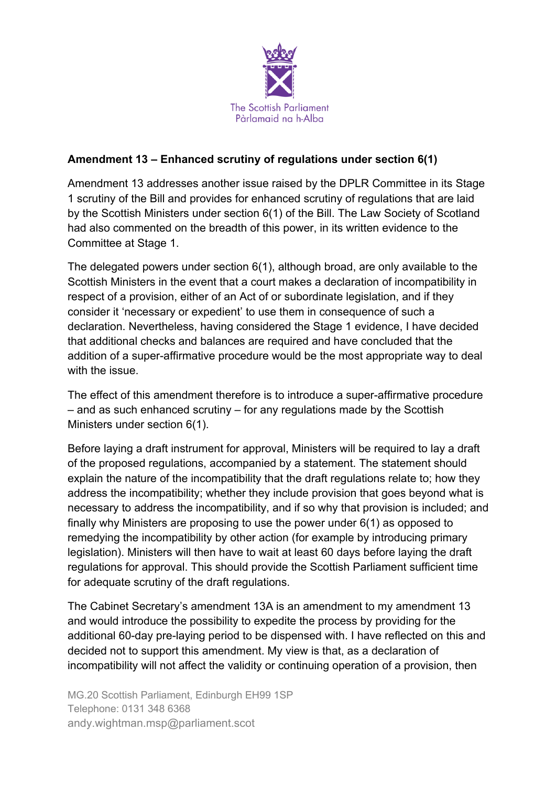

## **Amendment 13 – Enhanced scrutiny of regulations under section 6(1)**

Amendment 13 addresses another issue raised by the DPLR Committee in its Stage 1 scrutiny of the Bill and provides for enhanced scrutiny of regulations that are laid by the Scottish Ministers under section 6(1) of the Bill. The Law Society of Scotland had also commented on the breadth of this power, in its written evidence to the Committee at Stage 1.

The delegated powers under section 6(1), although broad, are only available to the Scottish Ministers in the event that a court makes a declaration of incompatibility in respect of a provision, either of an Act of or subordinate legislation, and if they consider it 'necessary or expedient' to use them in consequence of such a declaration. Nevertheless, having considered the Stage 1 evidence, I have decided that additional checks and balances are required and have concluded that the addition of a super-affirmative procedure would be the most appropriate way to deal with the issue.

The effect of this amendment therefore is to introduce a super-affirmative procedure – and as such enhanced scrutiny – for any regulations made by the Scottish Ministers under section 6(1).

Before laying a draft instrument for approval, Ministers will be required to lay a draft of the proposed regulations, accompanied by a statement. The statement should explain the nature of the incompatibility that the draft regulations relate to; how they address the incompatibility; whether they include provision that goes beyond what is necessary to address the incompatibility, and if so why that provision is included; and finally why Ministers are proposing to use the power under 6(1) as opposed to remedying the incompatibility by other action (for example by introducing primary legislation). Ministers will then have to wait at least 60 days before laying the draft regulations for approval. This should provide the Scottish Parliament sufficient time for adequate scrutiny of the draft regulations.

The Cabinet Secretary's amendment 13A is an amendment to my amendment 13 and would introduce the possibility to expedite the process by providing for the additional 60-day pre-laying period to be dispensed with. I have reflected on this and decided not to support this amendment. My view is that, as a declaration of incompatibility will not affect the validity or continuing operation of a provision, then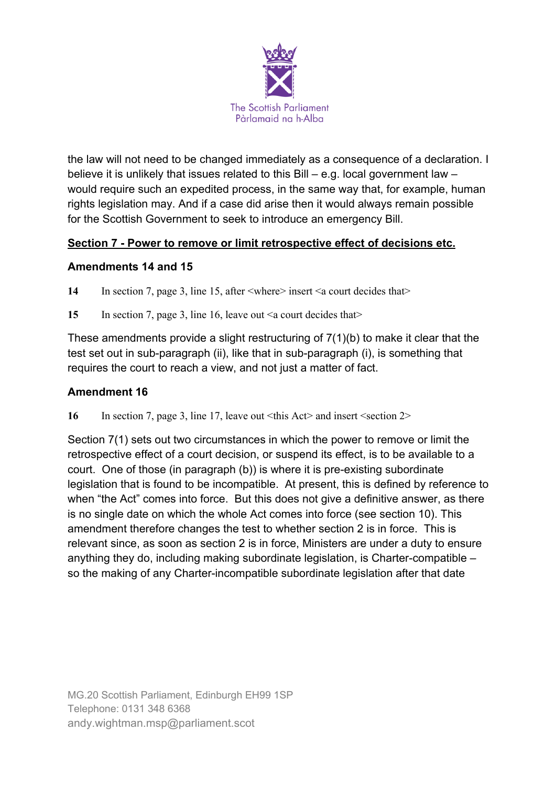

the law will not need to be changed immediately as a consequence of a declaration. I believe it is unlikely that issues related to this Bill – e.g. local government law – would require such an expedited process, in the same way that, for example, human rights legislation may. And if a case did arise then it would always remain possible for the Scottish Government to seek to introduce an emergency Bill.

## **Section 7 - Power to remove or limit retrospective effect of decisions etc.**

#### **Amendments 14 and 15**

14 In section 7, page 3, line 15, after  $\langle$ where $\rangle$  insert  $\langle$  a court decides that $\rangle$ 

15 In section 7, page 3, line 16, leave out  $\leq a$  court decides that

These amendments provide a slight restructuring of 7(1)(b) to make it clear that the test set out in sub-paragraph (ii), like that in sub-paragraph (i), is something that requires the court to reach a view, and not just a matter of fact.

### **Amendment 16**

**16** In section 7, page 3, line 17, leave out <this Act> and insert <section 2>

Section 7(1) sets out two circumstances in which the power to remove or limit the retrospective effect of a court decision, or suspend its effect, is to be available to a court. One of those (in paragraph (b)) is where it is pre-existing subordinate legislation that is found to be incompatible. At present, this is defined by reference to when "the Act" comes into force. But this does not give a definitive answer, as there is no single date on which the whole Act comes into force (see section 10). This amendment therefore changes the test to whether section 2 is in force. This is relevant since, as soon as section 2 is in force, Ministers are under a duty to ensure anything they do, including making subordinate legislation, is Charter-compatible – so the making of any Charter-incompatible subordinate legislation after that date